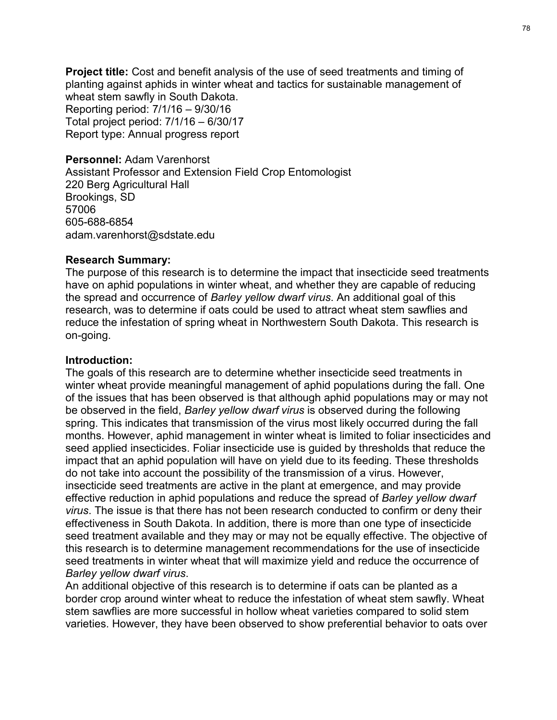Project title: Cost and benefit analysis of the use of seed treatments and timing of planting against aphids in winter wheat and tactics for sustainable management of wheat stem sawfly in South Dakota. Reporting period: 7/1/16 – 9/30/16 Total project period: 7/1/16 – 6/30/17 Report type: Annual progress report

#### Personnel: Adam Varenhorst

Assistant Professor and Extension Field Crop Entomologist 220 Berg Agricultural Hall Brookings, SD 57006 605-688-6854 adam.varenhorst@sdstate.edu

#### Research Summary:

The purpose of this research is to determine the impact that insecticide seed treatments have on aphid populations in winter wheat, and whether they are capable of reducing the spread and occurrence of Barley yellow dwarf virus. An additional goal of this research, was to determine if oats could be used to attract wheat stem sawflies and reduce the infestation of spring wheat in Northwestern South Dakota. This research is on-going. Neport type: Almalar progress report<br> **Assistant** Professor and Extension Field Crop Entomologist<br>
220 Berg Agricultural Hall<br>
Brookings, SD<br>
605-688-6854<br>
605-688-6854<br> **Research Summary:**<br> **Research Summary:**<br> **Research** 

#### Introduction:

winter wheat provide meaningful management of aphid populations during the fall. One of the issues that has been observed is that although aphid populations may or may not be observed in the field, Barley yellow dwarf virus is observed during the following spring. This indicates that transmission of the virus most likely occurred during the fall months. However, aphid management in winter wheat is limited to foliar insecticides and seed applied insecticides. Foliar insecticide use is guided by thresholds that reduce the impact that an aphid population will have on yield due to its feeding. These thresholds do not take into account the possibility of the transmission of a virus. However, **Research Summary:**<br>The purpose of this research is to determine the impact that insecticide seed treatments<br>The purpose of this research is to determine whenter they are capable of reducing<br>the spread and occurrence of *B* exerative and populations in wither wheat, and whether they are capable of reducing<br>the purpose of this research is to determine the what and whether they are capable of reducing<br>the spread and occurrence of *Barley yellow* virus. The issue is that there has not been research conducted to confirm or deny their Here of the methelic methelic methelic and well and well and the speak of relations in which we have the speak and occurrence of *Bariey yellow dwarf virus*. An additional goal of this research, was to determine if oats co seed treatment available and they may or may not be equally effective. The objective of research, was to determine roats could be user to durate, when the direct share and the production:<br>The goals of this research are to determine whether insecticide seed treatments in<br>The goals of this research are to deter is only the measuration of spiring wired in trochridesiant coddit Dativals. This research is<br>on-going.<br>The goals of this research are to determine whether insecticide seed treatments in<br>wither wheat provide meaningful mana Barley yellow dwarf virus.

An additional objective of this research is to determine if oats can be planted as a border crop around winter wheat to reduce the infestation of wheat stem sawfly. Wheat stem sawflies are more successful in hollow wheat varieties compared to solid stem varieties. However, they have been observed to show preferential behavior to oats over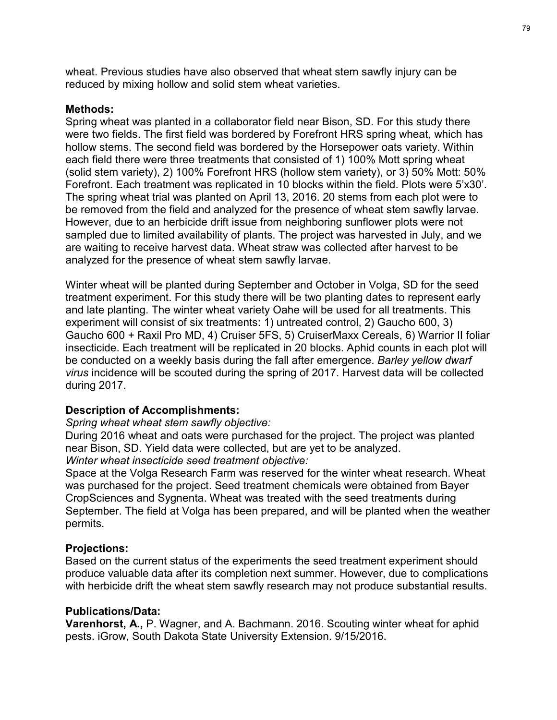wheat. Previous studies have also observed that wheat stem sawfly injury can be reduced by mixing hollow and solid stem wheat varieties.

#### Methods:

Spring wheat was planted in a collaborator field near Bison, SD. For this study there were two fields. The first field was bordered by Forefront HRS spring wheat, which has hollow stems. The second field was bordered by the Horsepower oats variety. Within each field there were three treatments that consisted of 1) 100% Mott spring wheat (solid stem variety), 2) 100% Forefront HRS (hollow stem variety), or 3) 50% Mott: 50% Forefront. Each treatment was replicated in 10 blocks within the field. Plots were 5'x30'. The spring wheat trial was planted on April 13, 2016. 20 stems from each plot were to <sup>79</sup><br>wheat. Previous studies have also observed that wheat stem sawfly injury can be<br>reduced by mixing hollow and solid stem wheat varieties.<br>Spring wheat was planted in a collaborator field near Bison, SD. For this study <sup>79</sup><br>wheat. Previous studies have also observed that wheat stem sawfly injury can be<br>reduced by mixing hollow and solid stem wheat varieties.<br>Spring wheat, which that<br>were two fields. The first field was bordered by Forefr sampled due to limited availability of plants. The project was harvested in July, and we are waiting to receive harvest data. Wheat straw was collected after harvest to be analyzed for the presence of wheat stem sawfly larvae. wheat. Previous studies have also observed that wheat stem sawfly injury can be reduced by mixing hollow and solid stem wheat varieties.<br>Spring wheat was planted in a collaborator field near Bison, SD. For this study there Methods:<br>
Spring wheat was planted in a collaborator field near Bison, SD. For this study there<br>
syrence two fields. The first field was bordered by Forefront HRS spring wheat, which has<br>
hollow stems. The second field was spiring writen was pianted in a coinauodicular linear lasting, 50. For unis study intereducted by Forefront HRS spring wheat, which has hollow stems. The second field was bordered by Forefront HRS spring wheat, which has h wire wire in this the two measured by the Horsepower cals variety. Within each field there were three terestented by the Horsepower cals variety. Within each field there were three terestents that consisted of 1) 100% Most

Winter wheat will be planted during September and October in Volga, SD for the seed and late planting. The winter wheat variety Oahe will be used for all treatments. This experiment will consist of six treatments: 1) untreated control, 2) Gaucho 600, 3) insecticide. Each treatment will be replicated in 20 blocks. Aphid counts in each plot will during 2017.

## Description of Accomplishments:

## Spring wheat wheat stem sawfly objective:

During 2016 wheat and oats were purchased for the project. The project was planted near Bison, SD. Yield data were collected, but are yet to be analyzed. Winter wheat insecticide seed treatment objective:

Space at the Volga Research Farm was reserved for the winter wheat research. Wheat was purchased for the project. Seed treatment chemicals were obtained from Bayer CropSciences and Sygnenta. Wheat was treated with the seed treatments during September. The field at Volga has been prepared, and will be planted when the weather permits.

## Projections:

Based on the current status of the experiments the seed treatment experiment should produce valuable data after its completion next summer. However, due to complications with herbicide drift the wheat stem sawfly research may not produce substantial results.

## Publications/Data:

Varenhorst, A., P. Wagner, and A. Bachmann. 2016. Scouting winter wheat for aphid pests. iGrow, South Dakota State University Extension. 9/15/2016.